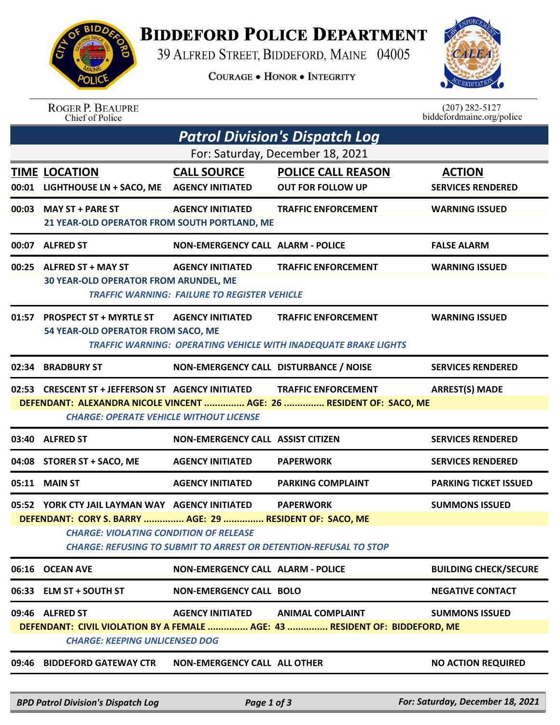## **BIDDEFORD POLICE DEPARTMENT**

39 ALFRED STREET, BIDDEFORD, MAINE 04005

**COURAGE . HONOR . INTEGRITY** 



| <b>ROGER P. BEAUPRE</b> |  |
|-------------------------|--|
| Chief of Police         |  |

 $(207)$  282-5127<br>biddefordmaine.org/police

| <b>Patrol Division's Dispatch Log</b>                                                                                                                                                                                             |                                                                                                                                         |                                                                                |                                                                                                      |                                  |  |  |  |  |
|-----------------------------------------------------------------------------------------------------------------------------------------------------------------------------------------------------------------------------------|-----------------------------------------------------------------------------------------------------------------------------------------|--------------------------------------------------------------------------------|------------------------------------------------------------------------------------------------------|----------------------------------|--|--|--|--|
| For: Saturday, December 18, 2021                                                                                                                                                                                                  |                                                                                                                                         |                                                                                |                                                                                                      |                                  |  |  |  |  |
|                                                                                                                                                                                                                                   | <b>TIME LOCATION</b>                                                                                                                    | <b>CALL SOURCE</b>                                                             | <b>POLICE CALL REASON</b>                                                                            | <b>ACTION</b>                    |  |  |  |  |
|                                                                                                                                                                                                                                   | 00:01 LIGHTHOUSE LN + SACO, ME                                                                                                          | <b>AGENCY INITIATED</b>                                                        | <b>OUT FOR FOLLOW UP</b>                                                                             | <b>SERVICES RENDERED</b>         |  |  |  |  |
|                                                                                                                                                                                                                                   | 00:03 MAY ST + PARE ST<br>21 YEAR-OLD OPERATOR FROM SOUTH PORTLAND, ME                                                                  | <b>AGENCY INITIATED</b>                                                        | <b>TRAFFIC ENFORCEMENT</b>                                                                           | <b>WARNING ISSUED</b>            |  |  |  |  |
|                                                                                                                                                                                                                                   | 00:07 ALFRED ST                                                                                                                         | <b>NON-EMERGENCY CALL ALARM - POLICE</b>                                       |                                                                                                      | <b>FALSE ALARM</b>               |  |  |  |  |
|                                                                                                                                                                                                                                   | 00:25 ALFRED ST + MAY ST<br><b>30 YEAR-OLD OPERATOR FROM ARUNDEL, ME</b>                                                                | <b>AGENCY INITIATED</b><br><b>TRAFFIC WARNING: FAILURE TO REGISTER VEHICLE</b> | <b>TRAFFIC ENFORCEMENT</b>                                                                           | <b>WARNING ISSUED</b>            |  |  |  |  |
|                                                                                                                                                                                                                                   | 01:57 PROSPECT ST + MYRTLE ST<br>54 YEAR-OLD OPERATOR FROM SACO, ME                                                                     | <b>AGENCY INITIATED</b>                                                        | <b>TRAFFIC ENFORCEMENT</b><br><b>TRAFFIC WARNING: OPERATING VEHICLE WITH INADEQUATE BRAKE LIGHTS</b> | <b>WARNING ISSUED</b>            |  |  |  |  |
|                                                                                                                                                                                                                                   | 02:34 BRADBURY ST                                                                                                                       | NON-EMERGENCY CALL DISTURBANCE / NOISE                                         |                                                                                                      | <b>SERVICES RENDERED</b>         |  |  |  |  |
| 02:53 CRESCENT ST + JEFFERSON ST AGENCY INITIATED<br><b>ARREST(S) MADE</b><br><b>TRAFFIC ENFORCEMENT</b><br>DEFENDANT: ALEXANDRA NICOLE VINCENT  AGE: 26  RESIDENT OF: SACO, ME<br><b>CHARGE: OPERATE VEHICLE WITHOUT LICENSE</b> |                                                                                                                                         |                                                                                |                                                                                                      |                                  |  |  |  |  |
|                                                                                                                                                                                                                                   | 03:40 ALFRED ST                                                                                                                         | <b>NON-EMERGENCY CALL ASSIST CITIZEN</b>                                       |                                                                                                      | <b>SERVICES RENDERED</b>         |  |  |  |  |
|                                                                                                                                                                                                                                   | 04:08 STORER ST + SACO, ME                                                                                                              | <b>AGENCY INITIATED</b>                                                        | <b>PAPERWORK</b>                                                                                     | <b>SERVICES RENDERED</b>         |  |  |  |  |
|                                                                                                                                                                                                                                   | 05:11 MAIN ST                                                                                                                           | <b>AGENCY INITIATED</b>                                                        | <b>PARKING COMPLAINT</b>                                                                             | <b>PARKING TICKET ISSUED</b>     |  |  |  |  |
|                                                                                                                                                                                                                                   | 05:52 YORK CTY JAIL LAYMAN WAY AGENCY INITIATED                                                                                         |                                                                                | <b>PAPERWORK</b>                                                                                     | <b>SUMMONS ISSUED</b>            |  |  |  |  |
|                                                                                                                                                                                                                                   | DEFENDANT: CORY S. BARRY  AGE: 29  RESIDENT OF: SACO, ME                                                                                |                                                                                |                                                                                                      |                                  |  |  |  |  |
|                                                                                                                                                                                                                                   | <b>CHARGE: VIOLATING CONDITION OF RELEASE</b><br><b>CHARGE: REFUSING TO SUBMIT TO ARREST OR DETENTION-REFUSAL TO STOP</b>               |                                                                                |                                                                                                      |                                  |  |  |  |  |
|                                                                                                                                                                                                                                   | 06:16 OCEAN AVE                                                                                                                         | <b>NON-EMERGENCY CALL ALARM - POLICE</b>                                       |                                                                                                      | <b>BUILDING CHECK/SECURE</b>     |  |  |  |  |
|                                                                                                                                                                                                                                   | 06:33 ELM ST + SOUTH ST                                                                                                                 | <b>NON-EMERGENCY CALL BOLO</b>                                                 |                                                                                                      | <b>NEGATIVE CONTACT</b>          |  |  |  |  |
|                                                                                                                                                                                                                                   | 09:46 ALFRED ST<br>DEFENDANT: CIVIL VIOLATION BY A FEMALE  AGE: 43  RESIDENT OF: BIDDEFORD, ME<br><b>CHARGE: KEEPING UNLICENSED DOG</b> | <b>AGENCY INITIATED</b>                                                        | <b>ANIMAL COMPLAINT</b>                                                                              | <b>SUMMONS ISSUED</b>            |  |  |  |  |
| 09:46                                                                                                                                                                                                                             | <b>BIDDEFORD GATEWAY CTR</b>                                                                                                            | <b>NON-EMERGENCY CALL ALL OTHER</b>                                            |                                                                                                      | <b>NO ACTION REQUIRED</b>        |  |  |  |  |
|                                                                                                                                                                                                                                   | <b>BPD Patrol Division's Dispatch Log</b>                                                                                               | Page 1 of 3                                                                    |                                                                                                      | For: Saturday, December 18, 2021 |  |  |  |  |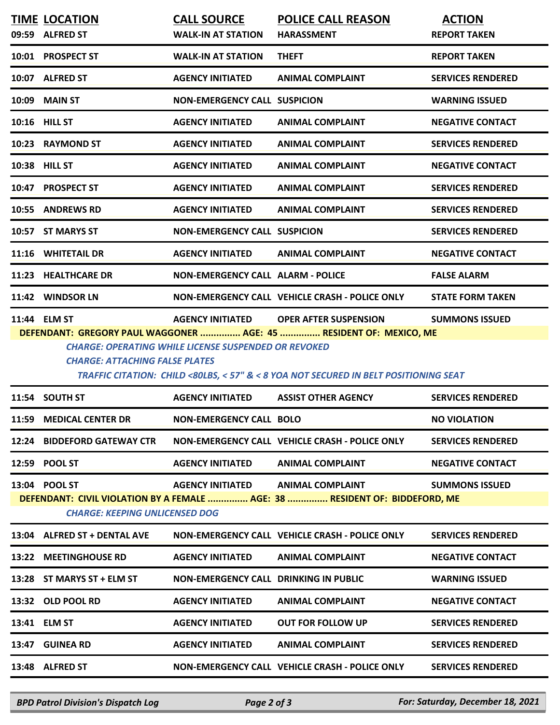|                                                                                                                                                                                                                                                                                                                                                                        | 10:01 PROSPECT ST            |                                              |                                                |                          |  |  |  |
|------------------------------------------------------------------------------------------------------------------------------------------------------------------------------------------------------------------------------------------------------------------------------------------------------------------------------------------------------------------------|------------------------------|----------------------------------------------|------------------------------------------------|--------------------------|--|--|--|
|                                                                                                                                                                                                                                                                                                                                                                        |                              | <b>WALK-IN AT STATION</b>                    | <b>THEFT</b>                                   | <b>REPORT TAKEN</b>      |  |  |  |
|                                                                                                                                                                                                                                                                                                                                                                        | 10:07 ALFRED ST              | <b>AGENCY INITIATED</b>                      | <b>ANIMAL COMPLAINT</b>                        | <b>SERVICES RENDERED</b> |  |  |  |
| 10:09                                                                                                                                                                                                                                                                                                                                                                  | <b>MAIN ST</b>               | <b>NON-EMERGENCY CALL SUSPICION</b>          |                                                | <b>WARNING ISSUED</b>    |  |  |  |
| <b>10:16 HILL ST</b>                                                                                                                                                                                                                                                                                                                                                   |                              | <b>AGENCY INITIATED</b>                      | <b>ANIMAL COMPLAINT</b>                        | <b>NEGATIVE CONTACT</b>  |  |  |  |
|                                                                                                                                                                                                                                                                                                                                                                        | 10:23 RAYMOND ST             | <b>AGENCY INITIATED</b>                      | <b>ANIMAL COMPLAINT</b>                        | <b>SERVICES RENDERED</b> |  |  |  |
| 10:38 HILL ST                                                                                                                                                                                                                                                                                                                                                          |                              | <b>AGENCY INITIATED</b>                      | <b>ANIMAL COMPLAINT</b>                        | <b>NEGATIVE CONTACT</b>  |  |  |  |
|                                                                                                                                                                                                                                                                                                                                                                        | 10:47 PROSPECT ST            | <b>AGENCY INITIATED</b>                      | <b>ANIMAL COMPLAINT</b>                        | <b>SERVICES RENDERED</b> |  |  |  |
|                                                                                                                                                                                                                                                                                                                                                                        | 10:55 ANDREWS RD             | <b>AGENCY INITIATED</b>                      | <b>ANIMAL COMPLAINT</b>                        | <b>SERVICES RENDERED</b> |  |  |  |
|                                                                                                                                                                                                                                                                                                                                                                        | 10:57 ST MARYS ST            | <b>NON-EMERGENCY CALL SUSPICION</b>          |                                                | <b>SERVICES RENDERED</b> |  |  |  |
|                                                                                                                                                                                                                                                                                                                                                                        | 11:16 WHITETAIL DR           | <b>AGENCY INITIATED</b>                      | <b>ANIMAL COMPLAINT</b>                        | <b>NEGATIVE CONTACT</b>  |  |  |  |
|                                                                                                                                                                                                                                                                                                                                                                        | 11:23 HEALTHCARE DR          | <b>NON-EMERGENCY CALL ALARM - POLICE</b>     |                                                | <b>FALSE ALARM</b>       |  |  |  |
|                                                                                                                                                                                                                                                                                                                                                                        | 11:42 WINDSOR LN             |                                              | NON-EMERGENCY CALL VEHICLE CRASH - POLICE ONLY | <b>STATE FORM TAKEN</b>  |  |  |  |
| 11:44 ELM ST<br><b>AGENCY INITIATED</b><br><b>OPER AFTER SUSPENSION</b><br><b>SUMMONS ISSUED</b><br>DEFENDANT: GREGORY PAUL WAGGONER  AGE: 45  RESIDENT OF: MEXICO, ME<br><b>CHARGE: OPERATING WHILE LICENSE SUSPENDED OR REVOKED</b><br><b>CHARGE: ATTACHING FALSE PLATES</b><br>TRAFFIC CITATION: CHILD <80LBS, < 57" & < 8 YOA NOT SECURED IN BELT POSITIONING SEAT |                              |                                              |                                                |                          |  |  |  |
|                                                                                                                                                                                                                                                                                                                                                                        | 11:54 SOUTH ST               | <b>AGENCY INITIATED</b>                      | <b>ASSIST OTHER AGENCY</b>                     | <b>SERVICES RENDERED</b> |  |  |  |
|                                                                                                                                                                                                                                                                                                                                                                        | 11:59 MEDICAL CENTER DR      | NON-EMERGENCY CALL BOLO                      |                                                | <b>NO VIOLATION</b>      |  |  |  |
|                                                                                                                                                                                                                                                                                                                                                                        | 12:24 BIDDEFORD GATEWAY CTR  |                                              | NON-EMERGENCY CALL VEHICLE CRASH - POLICE ONLY | <b>SERVICES RENDERED</b> |  |  |  |
| 12:59 POOL ST                                                                                                                                                                                                                                                                                                                                                          |                              | <b>AGENCY INITIATED</b>                      | <b>ANIMAL COMPLAINT</b>                        | <b>NEGATIVE CONTACT</b>  |  |  |  |
| 13:04 POOL ST<br><b>AGENCY INITIATED</b><br><b>ANIMAL COMPLAINT</b><br><b>SUMMONS ISSUED</b><br>DEFENDANT: CIVIL VIOLATION BY A FEMALE  AGE: 38  RESIDENT OF: BIDDEFORD, ME<br><b>CHARGE: KEEPING UNLICENSED DOG</b>                                                                                                                                                   |                              |                                              |                                                |                          |  |  |  |
|                                                                                                                                                                                                                                                                                                                                                                        | 13:04 ALFRED ST + DENTAL AVE |                                              | NON-EMERGENCY CALL VEHICLE CRASH - POLICE ONLY | <b>SERVICES RENDERED</b> |  |  |  |
|                                                                                                                                                                                                                                                                                                                                                                        | 13:22 MEETINGHOUSE RD        | <b>AGENCY INITIATED</b>                      | <b>ANIMAL COMPLAINT</b>                        | <b>NEGATIVE CONTACT</b>  |  |  |  |
|                                                                                                                                                                                                                                                                                                                                                                        | 13:28 ST MARYS ST + ELM ST   | <b>NON-EMERGENCY CALL DRINKING IN PUBLIC</b> |                                                | <b>WARNING ISSUED</b>    |  |  |  |
|                                                                                                                                                                                                                                                                                                                                                                        | 13:32 OLD POOL RD            | <b>AGENCY INITIATED</b>                      | <b>ANIMAL COMPLAINT</b>                        | <b>NEGATIVE CONTACT</b>  |  |  |  |
|                                                                                                                                                                                                                                                                                                                                                                        |                              |                                              |                                                |                          |  |  |  |
| 13:41 ELM ST                                                                                                                                                                                                                                                                                                                                                           |                              | <b>AGENCY INITIATED</b>                      | <b>OUT FOR FOLLOW UP</b>                       | <b>SERVICES RENDERED</b> |  |  |  |
|                                                                                                                                                                                                                                                                                                                                                                        | 13:47 GUINEA RD              | <b>AGENCY INITIATED</b>                      | <b>ANIMAL COMPLAINT</b>                        | <b>SERVICES RENDERED</b> |  |  |  |

*BPD Patrol Division's Dispatch Log Page 2 of 3 For: Saturday, December 18, 2021*